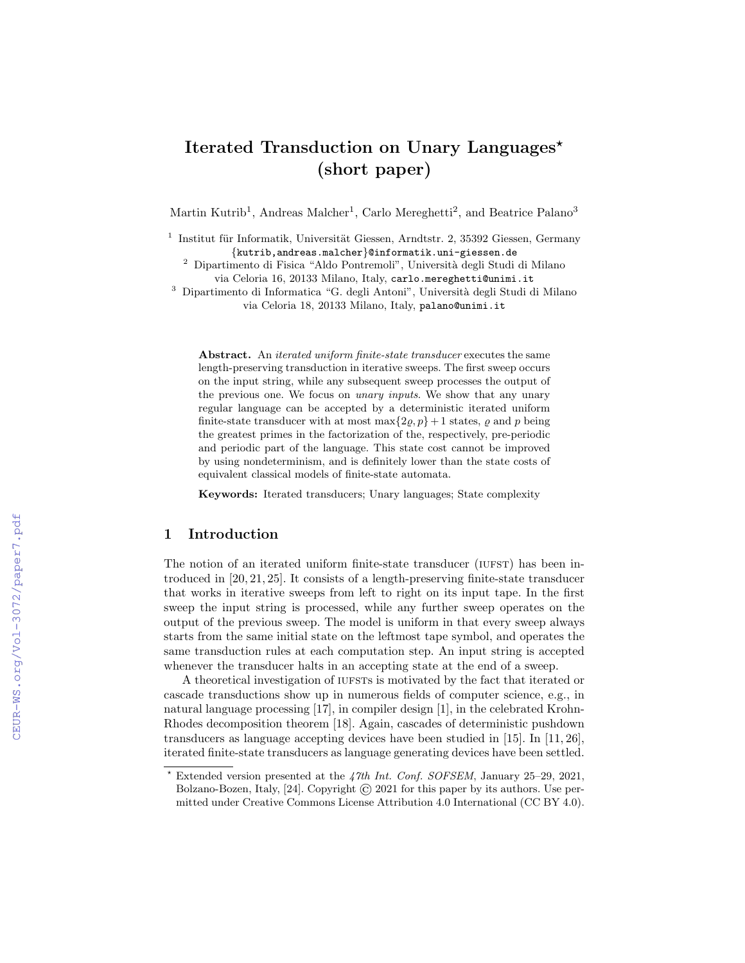# Iterated Transduction on Unary Languages<sup>\*</sup> (short paper)

Martin Kutrib<sup>1</sup>, Andreas Malcher<sup>1</sup>, Carlo Mereghetti<sup>2</sup>, and Beatrice Palano<sup>3</sup>

<sup>1</sup> Institut für Informatik, Universität Giessen, Arndtstr. 2, 35392 Giessen, Germany {kutrib,andreas.malcher}@informatik.uni-giessen.de

<sup>2</sup> Dipartimento di Fisica "Aldo Pontremoli", Università degli Studi di Milano via Celoria 16, 20133 Milano, Italy, carlo.mereghetti@unimi.it

<sup>3</sup> Dipartimento di Informatica "G. degli Antoni", Università degli Studi di Milano via Celoria 18, 20133 Milano, Italy, palano@unimi.it

Abstract. An *iterated uniform finite-state transducer* executes the same length-preserving transduction in iterative sweeps. The first sweep occurs on the input string, while any subsequent sweep processes the output of the previous one. We focus on unary inputs. We show that any unary regular language can be accepted by a deterministic iterated uniform finite-state transducer with at most  $\max\{2\varrho, p\} + 1$  states,  $\varrho$  and  $p$  being the greatest primes in the factorization of the, respectively, pre-periodic and periodic part of the language. This state cost cannot be improved by using nondeterminism, and is definitely lower than the state costs of equivalent classical models of finite-state automata.

Keywords: Iterated transducers; Unary languages; State complexity

## 1 Introduction

The notion of an iterated uniform finite-state transducer (IUFST) has been introduced in [20, 21, 25]. It consists of a length-preserving finite-state transducer that works in iterative sweeps from left to right on its input tape. In the first sweep the input string is processed, while any further sweep operates on the output of the previous sweep. The model is uniform in that every sweep always starts from the same initial state on the leftmost tape symbol, and operates the same transduction rules at each computation step. An input string is accepted whenever the transducer halts in an accepting state at the end of a sweep.

A theoretical investigation of iuffers is motivated by the fact that iterated or cascade transductions show up in numerous fields of computer science, e.g., in natural language processing [17], in compiler design [1], in the celebrated Krohn-Rhodes decomposition theorem [18]. Again, cascades of deterministic pushdown transducers as language accepting devices have been studied in [15]. In [11, 26], iterated finite-state transducers as language generating devices have been settled.

Extended version presented at the 47th Int. Conf. SOFSEM, January 25-29, 2021, Bolzano-Bozen, Italy, [24]. Copyright © 2021 for this paper by its authors. Use permitted under Creative Commons License Attribution 4.0 International (CC BY 4.0).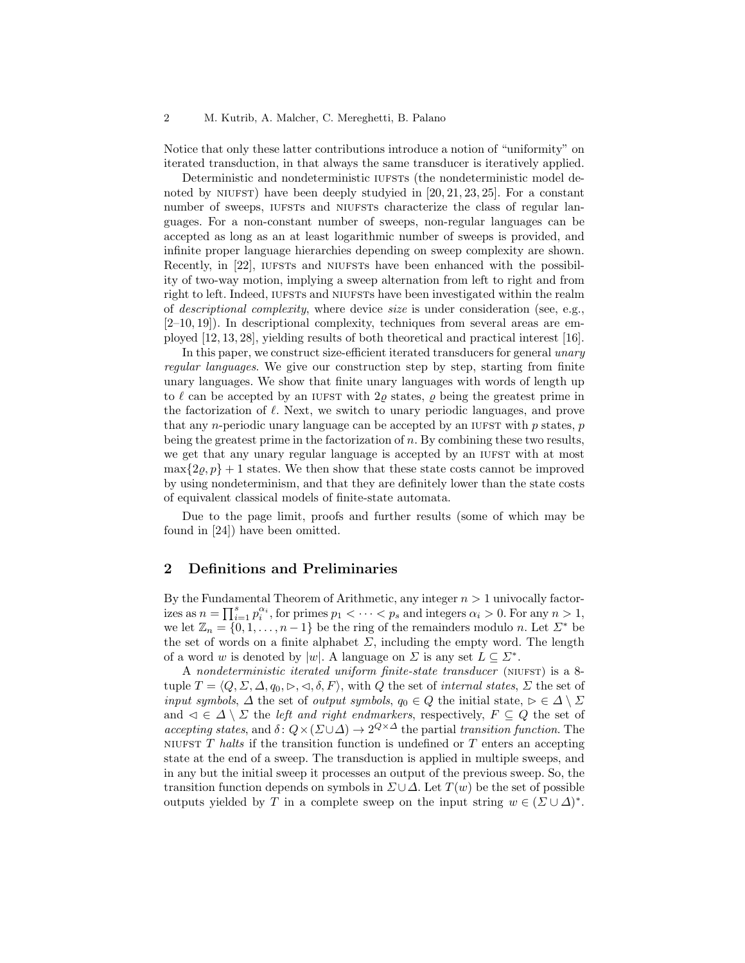Notice that only these latter contributions introduce a notion of "uniformity" on iterated transduction, in that always the same transducer is iteratively applied.

Deterministic and nondeterministic IUFSTS (the nondeterministic model denoted by NIUFST) have been deeply studyied in  $[20, 21, 23, 25]$ . For a constant number of sweeps, IUFSTs and NIUFSTs characterize the class of regular languages. For a non-constant number of sweeps, non-regular languages can be accepted as long as an at least logarithmic number of sweeps is provided, and infinite proper language hierarchies depending on sweep complexity are shown. Recently, in [22], IUFSTs and NIUFSTs have been enhanced with the possibility of two-way motion, implying a sweep alternation from left to right and from right to left. Indeed, IUFSTS and NIUFSTS have been investigated within the realm of descriptional complexity, where device size is under consideration (see, e.g., [2–10, 19]). In descriptional complexity, techniques from several areas are employed [12, 13, 28], yielding results of both theoretical and practical interest [16].

In this paper, we construct size-efficient iterated transducers for general unary regular languages. We give our construction step by step, starting from finite unary languages. We show that finite unary languages with words of length up to  $\ell$  can be accepted by an IUFST with  $2\rho$  states,  $\rho$  being the greatest prime in the factorization of  $\ell$ . Next, we switch to unary periodic languages, and prove that any *n*-periodic unary language can be accepted by an IUFST with  $p$  states,  $p$ being the greatest prime in the factorization of  $n$ . By combining these two results, we get that any unary regular language is accepted by an IUFST with at most  $\max\{2\rho, p\} + 1$  states. We then show that these state costs cannot be improved by using nondeterminism, and that they are definitely lower than the state costs of equivalent classical models of finite-state automata.

Due to the page limit, proofs and further results (some of which may be found in [24]) have been omitted.

## 2 Definitions and Preliminaries

By the Fundamental Theorem of Arithmetic, any integer  $n > 1$  univocally factorizes as  $n = \prod_{i=1}^{s} p_i^{\alpha_i}$ , for primes  $p_1 < \cdots < p_s$  and integers  $\alpha_i > 0$ . For any  $n > 1$ , we let  $\mathbb{Z}_n = \{0, 1, \ldots, n-1\}$  be the ring of the remainders modulo n. Let  $\Sigma^*$  be the set of words on a finite alphabet  $\Sigma$ , including the empty word. The length of a word w is denoted by |w|. A language on  $\Sigma$  is any set  $L \subseteq \Sigma^*$ .

A nondeterministic iterated uniform finite-state transducer (NIUFST) is a 8tuple  $T = \langle Q, \Sigma, \Delta, q_0, \triangleright, \triangleleft, \delta, F \rangle$ , with Q the set of internal states,  $\Sigma$  the set of input symbols,  $\Delta$  the set of output symbols,  $q_0 \in Q$  the initial state,  $\triangleright \in \Delta \setminus \Sigma$ and  $\triangleleft \in \triangle \setminus \Sigma$  the *left and right endmarkers*, respectively,  $F \subseteq Q$  the set of accepting states, and  $\delta: Q \times (\Sigma \cup \Delta) \to 2^{Q \times \Delta}$  the partial transition function. The NIUFST  $T$  halts if the transition function is undefined or  $T$  enters an accepting state at the end of a sweep. The transduction is applied in multiple sweeps, and in any but the initial sweep it processes an output of the previous sweep. So, the transition function depends on symbols in  $\Sigma \cup \Delta$ . Let  $T(w)$  be the set of possible outputs yielded by T in a complete sweep on the input string  $w \in (\Sigma \cup \Delta)^*$ .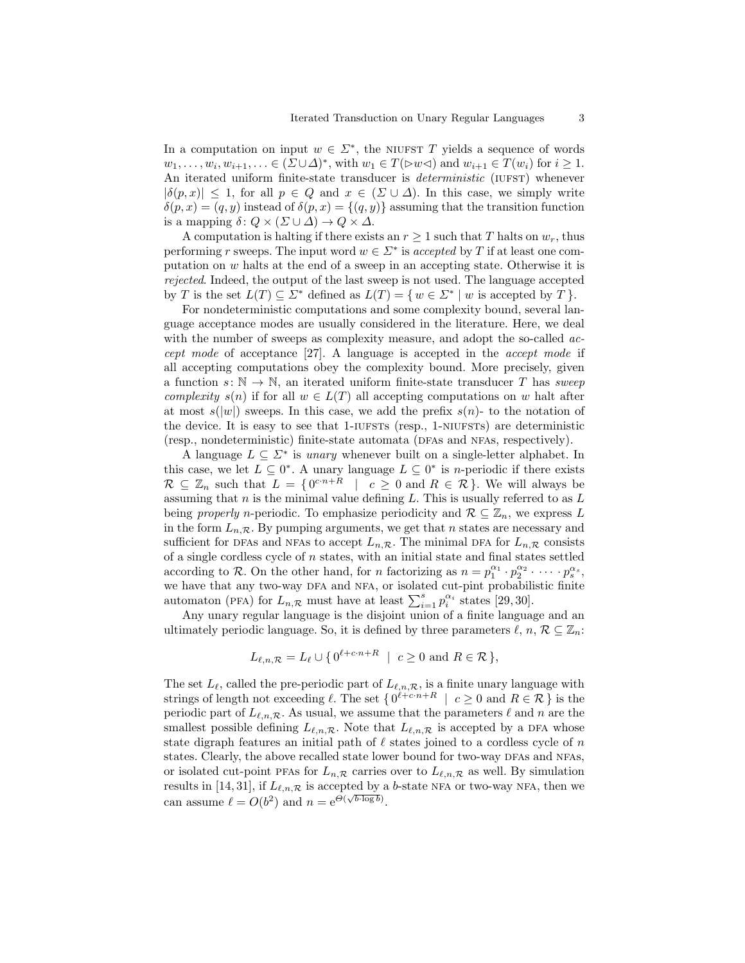In a computation on input  $w \in \Sigma^*$ , the NIUFST T yields a sequence of words  $w_1, \ldots, w_i, w_{i+1}, \ldots \in (\Sigma \cup \Delta)^*$ , with  $w_1 \in T(\forall w \triangleleft)$  and  $w_{i+1} \in T(w_i)$  for  $i \geq 1$ . An iterated uniform finite-state transducer is *deterministic* (IUFST) whenever  $|\delta(p,x)| \leq 1$ , for all  $p \in Q$  and  $x \in (\Sigma \cup \Delta)$ . In this case, we simply write  $\delta(p, x) = (q, y)$  instead of  $\delta(p, x) = \{(q, y)\}\$ assuming that the transition function is a mapping  $\delta: Q \times (\Sigma \cup \Delta) \to Q \times \Delta$ .

A computation is halting if there exists an  $r \geq 1$  such that T halts on  $w_r$ , thus performing r sweeps. The input word  $w \in \Sigma^*$  is accepted by T if at least one computation on w halts at the end of a sweep in an accepting state. Otherwise it is rejected. Indeed, the output of the last sweep is not used. The language accepted by T is the set  $L(T) \subseteq \Sigma^*$  defined as  $L(T) = \{ w \in \Sigma^* \mid w \text{ is accepted by } T \}.$ 

For nondeterministic computations and some complexity bound, several language acceptance modes are usually considered in the literature. Here, we deal with the number of sweeps as complexity measure, and adopt the so-called *ac*cept mode of acceptance [27]. A language is accepted in the accept mode if all accepting computations obey the complexity bound. More precisely, given a function  $s: \mathbb{N} \to \mathbb{N}$ , an iterated uniform finite-state transducer T has sweep complexity  $s(n)$  if for all  $w \in L(T)$  all accepting computations on w halt after at most  $s(|w|)$  sweeps. In this case, we add the prefix  $s(n)$ - to the notation of the device. It is easy to see that 1-IUFSTS (resp., 1-NIUFSTS) are deterministic (resp., nondeterministic) finite-state automata (dfas and nfas, respectively).

A language  $L \subseteq \Sigma^*$  is *unary* whenever built on a single-letter alphabet. In this case, we let  $L \subseteq 0^*$ . A unary language  $L \subseteq 0^*$  is *n*-periodic if there exists  $\mathcal{R} \subseteq \mathbb{Z}_n$  such that  $L = \{0^{c \cdot n + R} \mid c \geq 0 \text{ and } R \in \mathcal{R}\}\.$  We will always be assuming that  $n$  is the minimal value defining  $L$ . This is usually referred to as  $L$ being properly n-periodic. To emphasize periodicity and  $\mathcal{R} \subseteq \mathbb{Z}_n$ , we express L in the form  $L_{n,\mathcal{R}}$ . By pumping arguments, we get that n states are necessary and sufficient for DFAs and NFAs to accept  $L_{n,\mathcal{R}}$ . The minimal DFA for  $L_{n,\mathcal{R}}$  consists of a single cordless cycle of  $n$  states, with an initial state and final states settled according to R. On the other hand, for n factorizing as  $n = p_1^{\alpha_1} \cdot p_2^{\alpha_2} \cdot \cdots \cdot p_s^{\alpha_s}$ , we have that any two-way DFA and NFA, or isolated cut-pint probabilistic finite automaton (PFA) for  $L_{n,\mathcal{R}}$  must have at least  $\sum_{i=1}^{s} p_i^{\alpha_i}$  states [29, 30].

Any unary regular language is the disjoint union of a finite language and an ultimately periodic language. So, it is defined by three parameters  $\ell, n, \mathcal{R} \subseteq \mathbb{Z}_n$ :

$$
L_{\ell,n,\mathcal{R}} = L_{\ell} \cup \{ 0^{\ell+c \cdot n+R} \mid c \ge 0 \text{ and } R \in \mathcal{R} \},
$$

The set  $L_{\ell}$ , called the pre-periodic part of  $L_{\ell,n,\mathcal{R}}$ , is a finite unary language with strings of length not exceeding  $\ell$ . The set  $\{ 0^{\ell+c\cdot n+R} \mid c \geq 0 \text{ and } R \in \mathcal{R} \}$  is the periodic part of  $L_{\ell,n,\mathcal{R}}$ . As usual, we assume that the parameters  $\ell$  and n are the smallest possible defining  $L_{\ell,n,\mathcal{R}}$ . Note that  $L_{\ell,n,\mathcal{R}}$  is accepted by a DFA whose state digraph features an initial path of  $\ell$  states joined to a cordless cycle of n states. Clearly, the above recalled state lower bound for two-way DFAs and NFAs, or isolated cut-point PFAs for  $L_{n,\mathcal{R}}$  carries over to  $L_{\ell,n,\mathcal{R}}$  as well. By simulation results in [14, 31], if  $L_{\ell,n,\mathcal{R}}$  is accepted by a b-state NFA or two-way NFA, then we can assume  $\ell = O(b^2)$  and  $n = e^{\Theta(\sqrt{b \cdot \log b})}$ .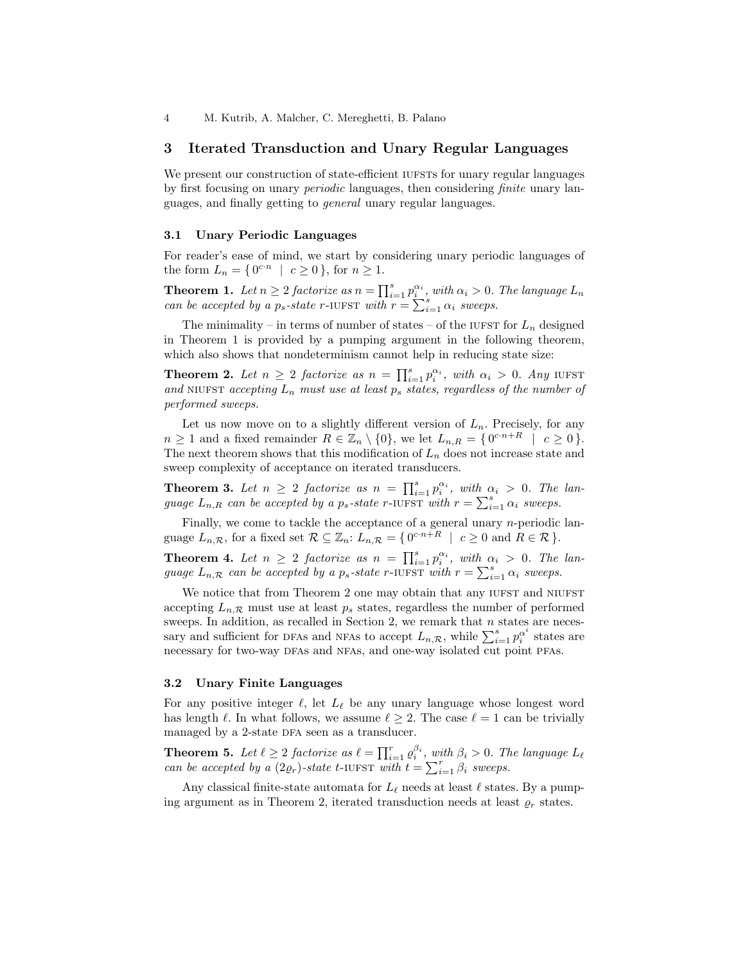## 3 Iterated Transduction and Unary Regular Languages

We present our construction of state-efficient IUFSTs for unary regular languages by first focusing on unary periodic languages, then considering finite unary languages, and finally getting to general unary regular languages.

### 3.1 Unary Periodic Languages

For reader's ease of mind, we start by considering unary periodic languages of the form  $L_n = \{0^{c \cdot n} \mid c \ge 0\}$ , for  $n \ge 1$ .

**Theorem 1.** Let  $n \geq 2$  factorize as  $n = \prod_{i=1}^{s} p_i^{\alpha_i}$ , with  $\alpha_i > 0$ . The language  $L_n$ can be accepted by a  $p_s$ -state r-IUFST with  $r = \sum_{i=1}^{s} \alpha_i$  sweeps.

The minimality – in terms of number of states – of the IUFST for  $L_n$  designed in Theorem 1 is provided by a pumping argument in the following theorem, which also shows that nondeterminism cannot help in reducing state size:

**Theorem 2.** Let  $n \geq 2$  factorize as  $n = \prod_{i=1}^{s} p_i^{\alpha_i}$ , with  $\alpha_i > 0$ . Any iuffst and NIUFST accepting  $L_n$  must use at least  $p_s$  states, regardless of the number of performed sweeps.

Let us now move on to a slightly different version of  $L_n$ . Precisely, for any  $n \geq 1$  and a fixed remainder  $R \in \mathbb{Z}_n \setminus \{0\}$ , we let  $L_{n,R} = \{0^{c \cdot n + R} \mid c \geq 0\}$ . The next theorem shows that this modification of  $L_n$  does not increase state and sweep complexity of acceptance on iterated transducers.

**Theorem 3.** Let  $n \geq 2$  factorize as  $n = \prod_{i=1}^{s} p_i^{\alpha_i}$ , with  $\alpha_i > 0$ . The language  $L_{n,R}$  can be accepted by a  $p_s$ -state r-IUFST with  $r = \sum_{i=1}^{s} \alpha_i$  sweeps.

Finally, we come to tackle the acceptance of a general unary  $n$ -periodic language  $L_{n,\mathcal{R}}$ , for a fixed set  $\mathcal{R} \subseteq \mathbb{Z}_n$ :  $L_{n,\mathcal{R}} = \{0^{c \cdot n + R} \mid c \geq 0 \text{ and } R \in \mathcal{R} \}.$ 

**Theorem 4.** Let  $n \geq 2$  factorize as  $n = \prod_{i=1}^{s} p_i^{\alpha_i}$ , with  $\alpha_i > 0$ . The language  $L_{n,\mathcal{R}}$  can be accepted by a  $p_s$ -state r-IUFST with  $r = \sum_{i=1}^s \alpha_i$  sweeps.

We notice that from Theorem 2 one may obtain that any IUFST and NIUFST accepting  $L_{n,\mathcal{R}}$  must use at least  $p_s$  states, regardless the number of performed sweeps. In addition, as recalled in Section 2, we remark that  $n$  states are necessary and sufficient for DFAs and NFAs to accept  $L_{n,\mathcal{R}}$ , while  $\sum_{i=1}^{s} p_i^{\alpha^i}$  states are necessary for two-way DFAs and NFAs, and one-way isolated cut point PFAs.

#### 3.2 Unary Finite Languages

For any positive integer  $\ell$ , let  $L_{\ell}$  be any unary language whose longest word has length  $\ell$ . In what follows, we assume  $\ell \geq 2$ . The case  $\ell = 1$  can be trivially managed by a 2-state DFA seen as a transducer.

**Theorem 5.** Let  $\ell \geq 2$  factorize as  $\ell = \prod_{i=1}^r \varrho_i^{\beta_i}$ , with  $\beta_i > 0$ . The language  $L_{\ell}$ can be accepted by a  $(2\varrho_r)$ -state t-IUFST with  $t = \sum_{i=1}^r \beta_i$  sweeps.

Any classical finite-state automata for  $L_\ell$  needs at least  $\ell$  states. By a pumping argument as in Theorem 2, iterated transduction needs at least  $\rho_r$  states.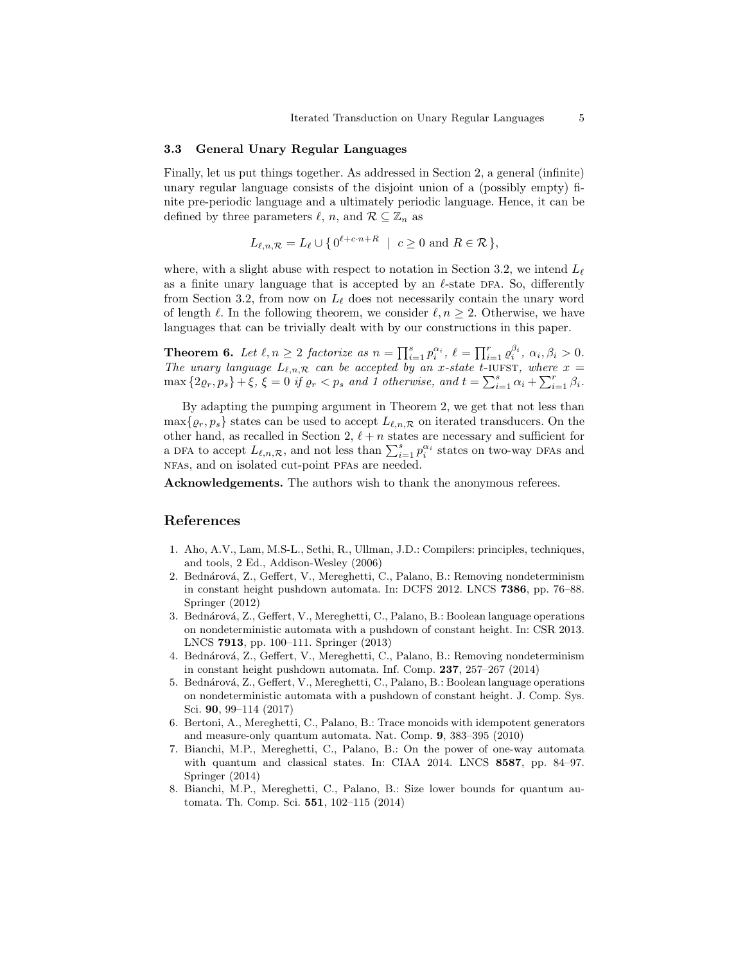### 3.3 General Unary Regular Languages

Finally, let us put things together. As addressed in Section 2, a general (infinite) unary regular language consists of the disjoint union of a (possibly empty) finite pre-periodic language and a ultimately periodic language. Hence, it can be defined by three parameters  $\ell$ , n, and  $\mathcal{R} \subseteq \mathbb{Z}_n$  as

$$
L_{\ell,n,\mathcal{R}} = L_{\ell} \cup \{ 0^{\ell+c \cdot n+R} \mid c \ge 0 \text{ and } R \in \mathcal{R} \},
$$

where, with a slight abuse with respect to notation in Section 3.2, we intend  $L_{\ell}$ as a finite unary language that is accepted by an  $\ell$ -state DFA. So, differently from Section 3.2, from now on  $L_{\ell}$  does not necessarily contain the unary word of length  $\ell$ . In the following theorem, we consider  $\ell, n \geq 2$ . Otherwise, we have languages that can be trivially dealt with by our constructions in this paper.

**Theorem 6.** Let  $\ell, n \geq 2$  factorize as  $n = \prod_{i=1}^s p_i^{\alpha_i}, \ell = \prod_{i=1}^r \varrho_i^{\beta_i}, \alpha_i, \beta_i > 0.$ The unary language  $L_{\ell,n,\mathcal{R}}$  can be accepted by an x-state t-iuffst, where  $x =$  $\max\left\{2\varrho_r, p_s\right\} + \xi, \xi = 0 \text{ if } \varrho_r < p_s \text{ and } 1 \text{ otherwise, and } t = \sum_{i=1}^s \alpha_i + \sum_{i=1}^r \beta_i.$ 

By adapting the pumping argument in Theorem 2, we get that not less than  $\max\{\varrho_r, p_s\}$  states can be used to accept  $L_{\ell,n,\mathcal{R}}$  on iterated transducers. On the other hand, as recalled in Section 2,  $\ell + n$  states are necessary and sufficient for a DFA to accept  $L_{\ell,n,\mathcal{R}}$ , and not less than  $\sum_{i=1}^s p_i^{\alpha_i}$  states on two-way DFAs and nfas, and on isolated cut-point pfas are needed.

Acknowledgements. The authors wish to thank the anonymous referees.

## References

- 1. Aho, A.V., Lam, M.S-L., Sethi, R., Ullman, J.D.: Compilers: principles, techniques, and tools, 2 Ed., Addison-Wesley (2006)
- 2. Bednárová, Z., Geffert, V., Mereghetti, C., Palano, B.: Removing nondeterminism in constant height pushdown automata. In: DCFS 2012. LNCS 7386, pp. 76–88. Springer (2012)
- 3. Bednárová, Z., Geffert, V., Mereghetti, C., Palano, B.: Boolean language operations on nondeterministic automata with a pushdown of constant height. In: CSR 2013. LNCS 7913, pp. 100–111. Springer (2013)
- 4. Bednárová, Z., Geffert, V., Mereghetti, C., Palano, B.: Removing nondeterminism in constant height pushdown automata. Inf. Comp. 237, 257–267 (2014)
- 5. Bednárová, Z., Geffert, V., Mereghetti, C., Palano, B.: Boolean language operations on nondeterministic automata with a pushdown of constant height. J. Comp. Sys. Sci. 90, 99–114 (2017)
- 6. Bertoni, A., Mereghetti, C., Palano, B.: Trace monoids with idempotent generators and measure-only quantum automata. Nat. Comp. 9, 383–395 (2010)
- 7. Bianchi, M.P., Mereghetti, C., Palano, B.: On the power of one-way automata with quantum and classical states. In: CIAA 2014. LNCS 8587, pp. 84–97. Springer (2014)
- 8. Bianchi, M.P., Mereghetti, C., Palano, B.: Size lower bounds for quantum automata. Th. Comp. Sci. 551, 102–115 (2014)